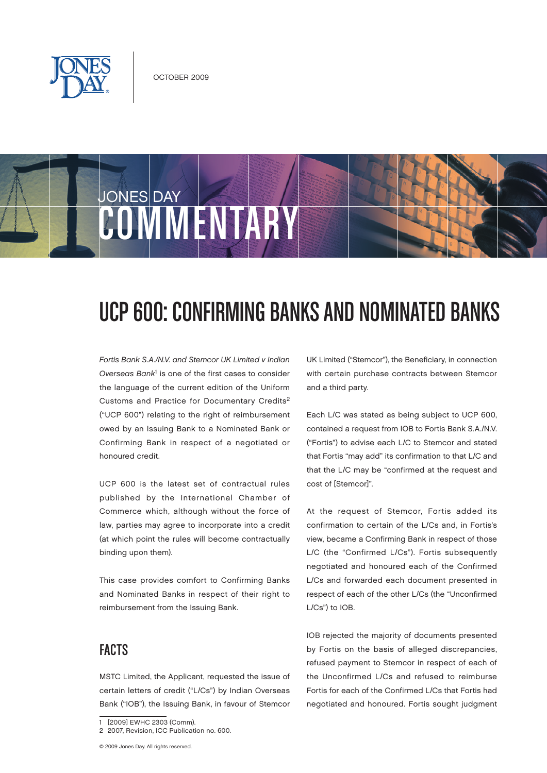

# **JONES DAY** OMMENTAR

## UCP 600: Confirming Banks and Nominated Banks

Fortis Bank S.A./N.V. and Stemcor UK Limited v Indian Overseas Bank<sup>1</sup> is one of the first cases to consider the language of the current edition of the Uniform Customs and Practice for Documentary Credits2 ("UCP 600") relating to the right of reimbursement owed by an Issuing Bank to a Nominated Bank or Confirming Bank in respect of a negotiated or honoured credit.

UCP 600 is the latest set of contractual rules published by the International Chamber of Commerce which, although without the force of law, parties may agree to incorporate into a credit (at which point the rules will become contractually binding upon them).

This case provides comfort to Confirming Banks and Nominated Banks in respect of their right to reimbursement from the Issuing Bank.

## **FACTS**

MSTC Limited, the Applicant, requested the issue of certain letters of credit ("L/Cs") by Indian Overseas Bank ("IOB"), the Issuing Bank, in favour of Stemcor

UK Limited ("Stemcor"), the Beneficiary, in connection with certain purchase contracts between Stemcor and a third party.

Each L/C was stated as being subject to UCP 600, contained a request from IOB to Fortis Bank S.A./N.V. ("Fortis") to advise each L/C to Stemcor and stated that Fortis "may add" its confirmation to that L/C and that the L/C may be "confirmed at the request and cost of [Stemcor]".

At the request of Stemcor, Fortis added its confirmation to certain of the L/Cs and, in Fortis's view, became a Confirming Bank in respect of those L/C (the "Confirmed L/Cs"). Fortis subsequently negotiated and honoured each of the Confirmed L/Cs and forwarded each document presented in respect of each of the other L/Cs (the "Unconfirmed L/Cs") to IOB.

IOB rejected the majority of documents presented by Fortis on the basis of alleged discrepancies, refused payment to Stemcor in respect of each of the Unconfirmed L/Cs and refused to reimburse Fortis for each of the Confirmed L/Cs that Fortis had negotiated and honoured. Fortis sought judgment

<sup>1</sup> [2009] EWHC 2303 (Comm).

<sup>2</sup> 2007, Revision, ICC Publication no. 600.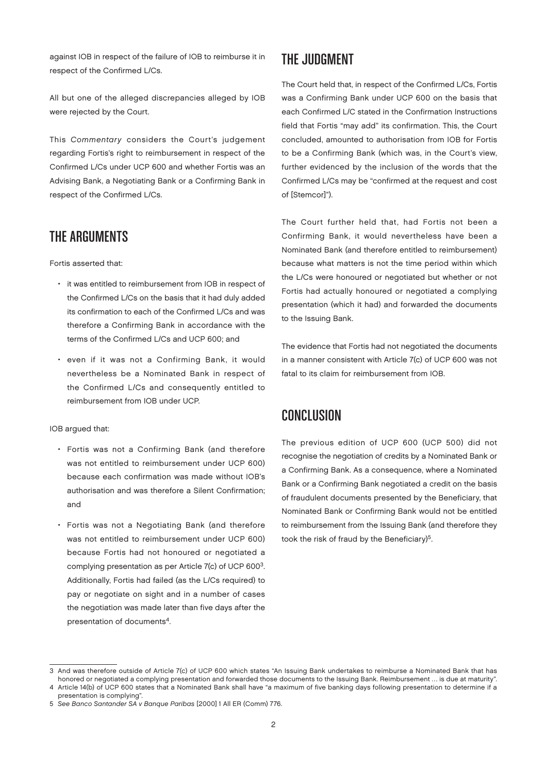against IOB in respect of the failure of IOB to reimburse it in respect of the Confirmed L/Cs.

All but one of the alleged discrepancies alleged by IOB were rejected by the Court.

This Commentary considers the Court's judgement regarding Fortis's right to reimbursement in respect of the Confirmed L/Cs under UCP 600 and whether Fortis was an Advising Bank, a Negotiating Bank or a Confirming Bank in respect of the Confirmed L/Cs.

#### The Arguments

Fortis asserted that:

- it was entitled to reimbursement from IOB in respect of the Confirmed L/Cs on the basis that it had duly added its confirmation to each of the Confirmed L/Cs and was therefore a Confirming Bank in accordance with the terms of the Confirmed L/Cs and UCP 600; and
- even if it was not a Confirming Bank, it would nevertheless be a Nominated Bank in respect of the Confirmed L/Cs and consequently entitled to reimbursement from IOB under UCP.

IOB argued that:

- Fortis was not a Confirming Bank (and therefore was not entitled to reimbursement under UCP 600) because each confirmation was made without IOB's authorisation and was therefore a Silent Confirmation; and
- Fortis was not a Negotiating Bank (and therefore was not entitled to reimbursement under UCP 600) because Fortis had not honoured or negotiated a complying presentation as per Article 7(c) of UCP 6003. Additionally, Fortis had failed (as the L/Cs required) to pay or negotiate on sight and in a number of cases the negotiation was made later than five days after the presentation of documents<sup>4</sup>.

### The Judgment

The Court held that, in respect of the Confirmed L/Cs, Fortis was a Confirming Bank under UCP 600 on the basis that each Confirmed L/C stated in the Confirmation Instructions field that Fortis "may add" its confirmation. This, the Court concluded, amounted to authorisation from IOB for Fortis to be a Confirming Bank (which was, in the Court's view, further evidenced by the inclusion of the words that the Confirmed L/Cs may be "confirmed at the request and cost of [Stemcor]").

The Court further held that, had Fortis not been a Confirming Bank, it would nevertheless have been a Nominated Bank (and therefore entitled to reimbursement) because what matters is not the time period within which the L/Cs were honoured or negotiated but whether or not Fortis had actually honoured or negotiated a complying presentation (which it had) and forwarded the documents to the Issuing Bank.

The evidence that Fortis had not negotiated the documents in a manner consistent with Article 7(c) of UCP 600 was not fatal to its claim for reimbursement from IOB.

#### Conclusion

The previous edition of UCP 600 (UCP 500) did not recognise the negotiation of credits by a Nominated Bank or a Confirming Bank. As a consequence, where a Nominated Bank or a Confirming Bank negotiated a credit on the basis of fraudulent documents presented by the Beneficiary, that Nominated Bank or Confirming Bank would not be entitled to reimbursement from the Issuing Bank (and therefore they took the risk of fraud by the Beneficiary)<sup>5</sup>.

<sup>3</sup> And was therefore outside of Article 7(c) of UCP 600 which states "An Issuing Bank undertakes to reimburse a Nominated Bank that has honored or negotiated a complying presentation and forwarded those documents to the Issuing Bank. Reimbursement … is due at maturity". 4 Article 14(b) of UCP 600 states that a Nominated Bank shall have "a maximum of five banking days following presentation to determine if a

presentation is complying".

<sup>5</sup> See Banco Santander SA v Banque Paribas [2000] 1 All ER (Comm) 776.